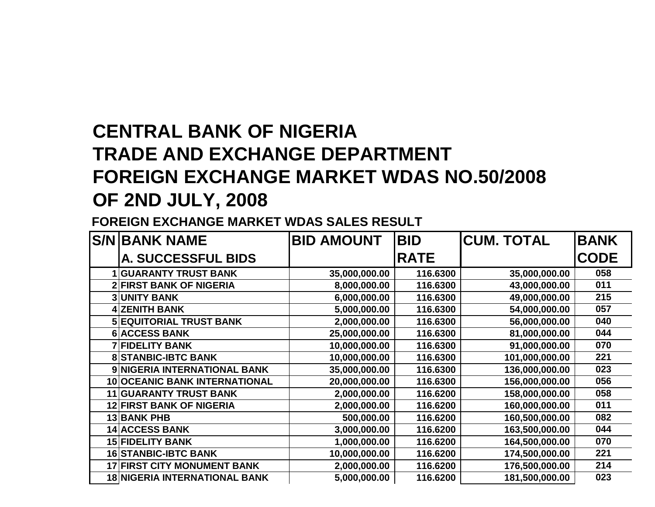## **CENTRAL BANK OF NIGERIA TRADE AND EXCHANGE DEPARTMENT FOREIGN EXCHANGE MARKET WDAS NO.50/2008OF 2ND JULY, 2008**

**FOREIGN EXCHANGE MARKET WDAS SALES RESULT**

| <b>S/N BANK NAME</b>                 | <b>BID AMOUNT</b> | <b>BID</b>  | <b>CUM. TOTAL</b> | <b>BANK</b> |
|--------------------------------------|-------------------|-------------|-------------------|-------------|
| <b>A. SUCCESSFUL BIDS</b>            |                   | <b>RATE</b> |                   | <b>CODE</b> |
| <b>GUARANTY TRUST BANK</b>           | 35,000,000.00     | 116.6300    | 35,000,000.00     | 058         |
| <b>2 FIRST BANK OF NIGERIA</b>       | 8,000,000.00      | 116.6300    | 43,000,000.00     | 011         |
| <b>3 UNITY BANK</b>                  | 6,000,000.00      | 116.6300    | 49,000,000.00     | 215         |
| <b>4 ZENITH BANK</b>                 | 5,000,000.00      | 116.6300    | 54,000,000.00     | 057         |
| <b>5 EQUITORIAL TRUST BANK</b>       | 2,000,000.00      | 116.6300    | 56,000,000.00     | 040         |
| <b>6 ACCESS BANK</b>                 | 25,000,000.00     | 116.6300    | 81,000,000.00     | 044         |
| <b>7 FIDELITY BANK</b>               | 10,000,000.00     | 116.6300    | 91,000,000.00     | 070         |
| <b>8 STANBIC-IBTC BANK</b>           | 10,000,000.00     | 116.6300    | 101,000,000.00    | 221         |
| 9 NIGERIA INTERNATIONAL BANK         | 35,000,000.00     | 116.6300    | 136,000,000.00    | 023         |
| 10 OCEANIC BANK INTERNATIONAL        | 20,000,000.00     | 116.6300    | 156,000,000.00    | 056         |
| <b>11 GUARANTY TRUST BANK</b>        | 2,000,000.00      | 116.6200    | 158,000,000.00    | 058         |
| <b>12 FIRST BANK OF NIGERIA</b>      | 2,000,000.00      | 116.6200    | 160,000,000.00    | 011         |
| <b>13 BANK PHB</b>                   | 500,000.00        | 116.6200    | 160,500,000.00    | 082         |
| <b>14 ACCESS BANK</b>                | 3,000,000.00      | 116.6200    | 163,500,000.00    | 044         |
| <b>15 FIDELITY BANK</b>              | 1,000,000.00      | 116.6200    | 164,500,000.00    | 070         |
| <b>16 STANBIC-IBTC BANK</b>          | 10,000,000.00     | 116.6200    | 174,500,000.00    | 221         |
| <b>17 FIRST CITY MONUMENT BANK</b>   | 2,000,000.00      | 116.6200    | 176,500,000.00    | 214         |
| <b>18 NIGERIA INTERNATIONAL BANK</b> | 5,000,000.00      | 116.6200    | 181,500,000.00    | 023         |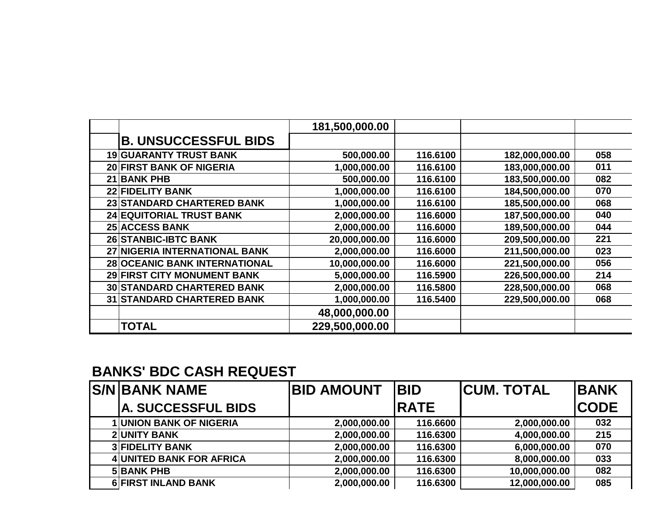|                                   | 181,500,000.00 |          |                |     |
|-----------------------------------|----------------|----------|----------------|-----|
| <b>B. UNSUCCESSFUL BIDS</b>       |                |          |                |     |
| <b>19 GUARANTY TRUST BANK</b>     | 500,000.00     | 116.6100 | 182,000,000.00 | 058 |
| 20 FIRST BANK OF NIGERIA          | 1,000,000.00   | 116.6100 | 183,000,000.00 | 011 |
| 21 BANK PHB                       | 500,000.00     | 116.6100 | 183,500,000.00 | 082 |
| 22 FIDELITY BANK                  | 1,000,000.00   | 116.6100 | 184,500,000.00 | 070 |
| 23 STANDARD CHARTERED BANK        | 1,000,000.00   | 116.6100 | 185,500,000.00 | 068 |
| 24 EQUITORIAL TRUST BANK          | 2,000,000.00   | 116.6000 | 187,500,000.00 | 040 |
| <b>25 ACCESS BANK</b>             | 2,000,000.00   | 116.6000 | 189,500,000.00 | 044 |
| <b>26 STANBIC-IBTC BANK</b>       | 20,000,000.00  | 116.6000 | 209,500,000.00 | 221 |
| 27 NIGERIA INTERNATIONAL BANK     | 2,000,000.00   | 116.6000 | 211,500,000.00 | 023 |
| 28 OCEANIC BANK INTERNATIONAL     | 10,000,000.00  | 116.6000 | 221,500,000.00 | 056 |
| 29 FIRST CITY MONUMENT BANK       | 5,000,000.00   | 116.5900 | 226,500,000.00 | 214 |
| <b>30 STANDARD CHARTERED BANK</b> | 2,000,000.00   | 116.5800 | 228,500,000.00 | 068 |
| <b>31 STANDARD CHARTERED BANK</b> | 1,000,000.00   | 116.5400 | 229,500,000.00 | 068 |
|                                   | 48,000,000.00  |          |                |     |
| <b>TOTAL</b>                      | 229,500,000.00 |          |                |     |

## **BANKS' BDC CASH REQUEST**

| <b>S/N BANK NAME</b>            | <b>BID AMOUNT</b> | <b>IBID</b>  | <b>ICUM. TOTAL</b> | <b>IBANK</b> |
|---------------------------------|-------------------|--------------|--------------------|--------------|
| A. SUCCESSFUL BIDS              |                   | <b>IRATE</b> |                    | <b>ICODE</b> |
| <b>1 UNION BANK OF NIGERIA</b>  | 2,000,000.00      | 116.6600     | 2,000,000.00       | 032          |
| <b>2 UNITY BANK</b>             | 2,000,000.00      | 116.6300     | 4,000,000.00       | 215          |
| <b>3 FIDELITY BANK</b>          | 2,000,000.00      | 116.6300     | 6,000,000.00       | 070          |
| <b>4 UNITED BANK FOR AFRICA</b> | 2,000,000.00      | 116.6300     | 8,000,000.00       | 033          |
| <b>5 BANK PHB</b>               | 2,000,000.00      | 116.6300     | 10,000,000.00      | 082          |
| <b>6 FIRST INLAND BANK</b>      | 2,000,000.00      | 116.6300     | 12,000,000.00      | 085          |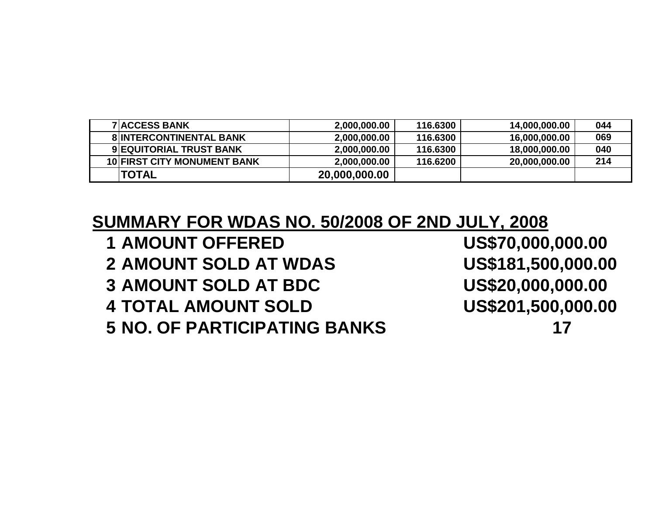| <b>7IACCESS BANK</b>               | 2,000,000.00  | 116.6300 | 14,000,000.00 | 044 |
|------------------------------------|---------------|----------|---------------|-----|
| <b>8 INTERCONTINENTAL BANK</b>     | 2,000,000.00  | 116,6300 | 16,000,000.00 | 069 |
| 9 EQUITORIAL TRUST BANK            | 2,000,000.00  | 116.6300 | 18,000,000.00 | 040 |
| <b>10 FIRST CITY MONUMENT BANK</b> | 2,000,000.00  | 116.6200 | 20,000,000.00 | 214 |
| <b>'TOTAL</b>                      | 20,000,000.00 |          |               |     |

**SUMMARY FOR WDAS NO. 50/2008 OF 2ND JULY, 2008**

- **1 AMOUNT OFFERED**
- **2 AMOUNT SOLD AT WDAS**
- **3** AMOUNT SOLD AT BDC
- **4 TOTAL AMOUNT SOLD**

**5 NO. OF PARTICIPATING BANKS <sup>17</sup>**

US\$70,000,000.00 US\$181,500,000.00 US\$20,000,000.00 US\$201,500,000.00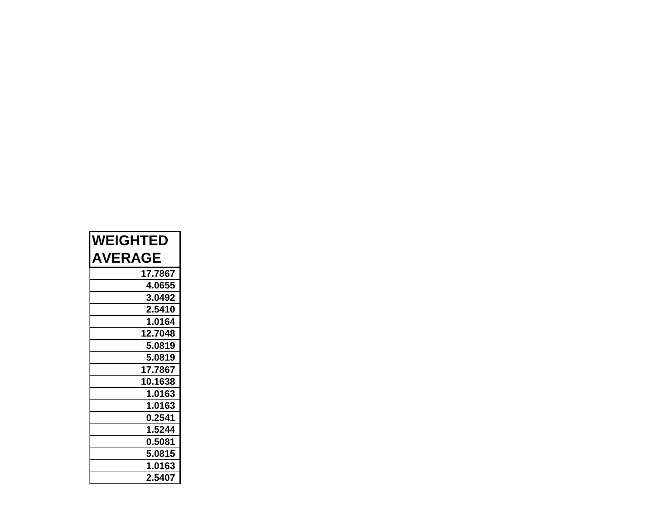| <b>WEIGHTED</b> |  |  |  |
|-----------------|--|--|--|
| <b>AVERAGE</b>  |  |  |  |
| 17.7867         |  |  |  |
| 4.0655          |  |  |  |
| 3.0492          |  |  |  |
| 2.5410          |  |  |  |
| 1.0164          |  |  |  |
| 12.7048         |  |  |  |
| 5.0819          |  |  |  |
| 5.0819          |  |  |  |
| 17.7867         |  |  |  |
| 10.1638         |  |  |  |
| 1.0163          |  |  |  |
| 1.0163          |  |  |  |
| 0.2541          |  |  |  |
| 1.5244          |  |  |  |
| 0.5081          |  |  |  |
| 5.0815          |  |  |  |
| 1.0163          |  |  |  |
| 2.5407          |  |  |  |